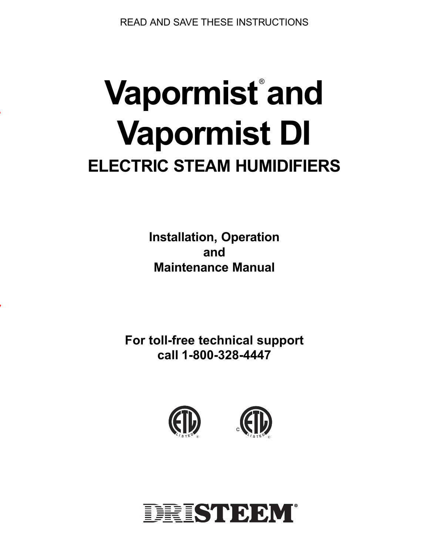READ AND SAVE THESE INSTRUCTIONS

# **Vapormist and** ® **Vapormist DI ELECTRIC STEAM HUMIDIFIERS**

E

r

**Installation, Operation and Maintenance Manual**

**For toll-free technical support call 1-800-328-4447**





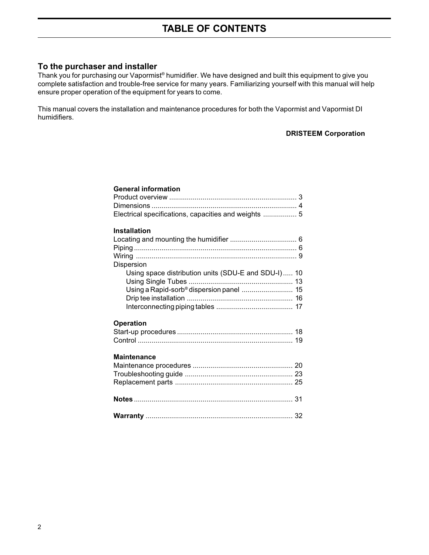# **To the purchaser and installer**

Thank you for purchasing our Vapormist® humidifier. We have designed and built this equipment to give you complete satisfaction and trouble-free service for many years. Familiarizing yourself with this manual will help ensure proper operation of the equipment for years to come.

This manual covers the installation and maintenance procedures for both the Vapormist and Vapormist DI humidifiers.

#### **DRISTEEM Corporation**

| <b>General information</b>                           |  |
|------------------------------------------------------|--|
|                                                      |  |
|                                                      |  |
| Electrical specifications, capacities and weights  5 |  |
| <b>Installation</b>                                  |  |
|                                                      |  |
|                                                      |  |
|                                                      |  |
| Dispersion                                           |  |
| Using space distribution units (SDU-E and SDU-I) 10  |  |
|                                                      |  |
| Using a Rapid-sorb <sup>®</sup> dispersion panel  15 |  |
|                                                      |  |
|                                                      |  |
| <b>Operation</b>                                     |  |
| <b>Maintenance</b>                                   |  |
|                                                      |  |
|                                                      |  |
|                                                      |  |
|                                                      |  |
|                                                      |  |
|                                                      |  |
|                                                      |  |
|                                                      |  |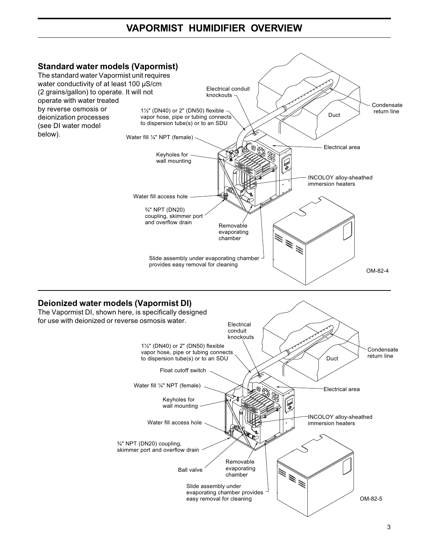# **VAPORMIST HUMIDIFIER OVERVIEW**

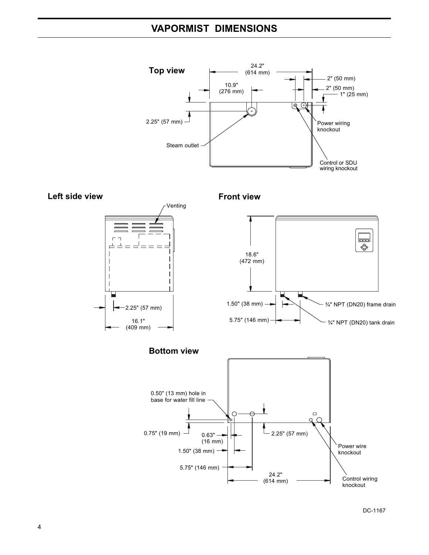# **VAPORMIST DIMENSIONS**





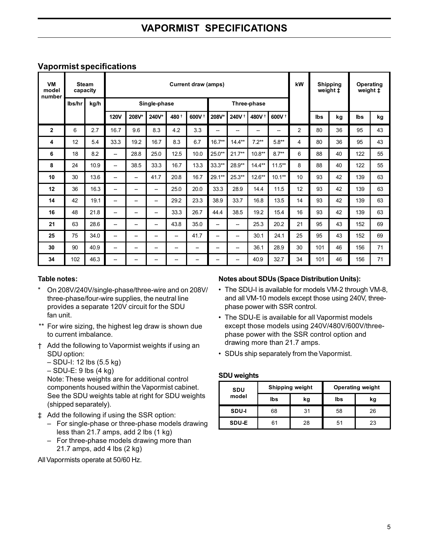| VM<br>model  | <b>Steam</b><br><b>Current draw (amps)</b><br>capacity<br>number |      |             |                             |       |       |                   |          |                   | kW                | <b>Shipping</b><br>weight ‡ |                | Operating<br>weight ‡ |    |     |    |
|--------------|------------------------------------------------------------------|------|-------------|-----------------------------|-------|-------|-------------------|----------|-------------------|-------------------|-----------------------------|----------------|-----------------------|----|-----|----|
|              | lbs/hr                                                           | kg/h |             | Single-phase<br>Three-phase |       |       |                   |          |                   |                   |                             |                |                       |    |     |    |
|              |                                                                  |      | <b>120V</b> | 208V*                       | 240V* | 480 + | 600V <sup>+</sup> | 208V*    | 240V <sup>+</sup> | 480V <sup>+</sup> | 600V <sup>+</sup>           |                | lbs                   | kg | lbs | kg |
| $\mathbf{2}$ | 6                                                                | 2.7  | 16.7        | 9.6                         | 8.3   | 4.2   | 3.3               | --       | --                | --                | --                          | $\overline{2}$ | 80                    | 36 | 95  | 43 |
| 4            | 12                                                               | 5.4  | 33.3        | 19.2                        | 16.7  | 8.3   | 6.7               | $16.7**$ | $14.4***$         | $7.2**$           | $5.8**$                     | 4              | 80                    | 36 | 95  | 43 |
| 6            | 18                                                               | 8.2  | --          | 28.8                        | 25.0  | 12.5  | 10.0              | 25.0**   | $21.7**$          | $10.8**$          | $8.7**$                     | 6              | 88                    | 40 | 122 | 55 |
| 8            | 24                                                               | 10.9 | --          | 38.5                        | 33.3  | 16.7  | 13.3              | $33.3**$ | 28.9**            | $14.4**$          | $11.5***$                   | 8              | 88                    | 40 | 122 | 55 |
| 10           | 30                                                               | 13.6 | --          | --                          | 41.7  | 20.8  | 16.7              | 29.1**   | 25.3**            | $12.6***$         | $10.1**$                    | 10             | 93                    | 42 | 139 | 63 |
| 12           | 36                                                               | 16.3 | --          | --                          | -     | 25.0  | 20.0              | 33.3     | 28.9              | 14.4              | 11.5                        | 12             | 93                    | 42 | 139 | 63 |
| 14           | 42                                                               | 19.1 | --          | --                          | -     | 29.2  | 23.3              | 38.9     | 33.7              | 16.8              | 13.5                        | 14             | 93                    | 42 | 139 | 63 |
| 16           | 48                                                               | 21.8 | --          | --                          | -     | 33.3  | 26.7              | 44.4     | 38.5              | 19.2              | 15.4                        | 16             | 93                    | 42 | 139 | 63 |
| 21           | 63                                                               | 28.6 | --          | --                          | -     | 43.8  | 35.0              | -        | --                | 25.3              | 20.2                        | 21             | 95                    | 43 | 152 | 69 |
| 25           | 75                                                               | 34.0 | --          | --                          | -     | --    | 41.7              | -        | --                | 30.1              | 24.1                        | 25             | 95                    | 43 | 152 | 69 |
| 30           | 90                                                               | 40.9 | --          | --                          | -     | --    | -                 | -        | -                 | 36.1              | 28.9                        | 30             | 101                   | 46 | 156 | 71 |
| 34           | 102                                                              | 46.3 |             | --                          |       |       |                   | --       |                   | 40.9              | 32.7                        | 34             | 101                   | 46 | 156 | 71 |

# **Vapormist specifications**

#### **Table notes:**

- On 208V/240V/single-phase/three-wire and on 208V/ three-phase/four-wire supplies, the neutral line provides a separate 120V circuit for the SDU fan unit.
- \*\* For wire sizing, the highest leg draw is shown due to current imbalance.
- † Add the following to Vapormist weights if using an SDU option:
	- SDU-I: 12 lbs (5.5 kg)
	- $-$  SDU-E: 9 lbs (4 kg)

Note: These weights are for additional control components housed within the Vapormist cabinet. See the SDU weights table at right for SDU weights (shipped separately).

- ‡ Add the following if using the SSR option:
	- For single-phase or three-phase models drawing less than 21.7 amps, add 2 lbs (1 kg)
	- For three-phase models drawing more than 21.7 amps, add 4 lbs (2 kg)

All Vapormists operate at 50/60 Hz.

#### **Notes about SDUs (Space Distribution Units):**

- The SDU-I is available for models VM-2 through VM-8, and all VM-10 models except those using 240V, threephase power with SSR control.
- The SDU-E is available for all Vapormist models except those models using 240V/480V/600V/threephase power with the SSR control option and drawing more than 21.7 amps.
- SDUs ship separately from the Vapormist.

#### **SDU weights**

| SDU<br>model |     | <b>Shipping weight</b> | <b>Operating weight</b> |    |  |  |
|--------------|-----|------------------------|-------------------------|----|--|--|
|              | lbs | kg                     | lbs                     | kg |  |  |
| SDU-I        | 68  | 31                     | 58                      | 26 |  |  |
| <b>SDU-E</b> | 61  | 28                     | 51                      | 23 |  |  |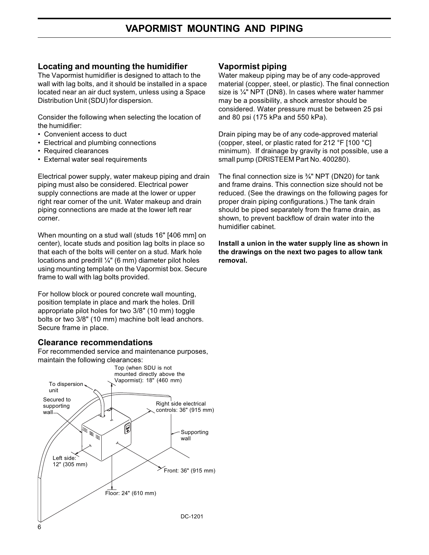#### **Locating and mounting the humidifier**

The Vapormist humidifier is designed to attach to the wall with lag bolts, and it should be installed in a space located near an air duct system, unless using a Space Distribution Unit (SDU) for dispersion.

Consider the following when selecting the location of the humidifier:

- Convenient access to duct
- Electrical and plumbing connections
- Required clearances
- External water seal requirements

Electrical power supply, water makeup piping and drain piping must also be considered. Electrical power supply connections are made at the lower or upper right rear corner of the unit. Water makeup and drain piping connections are made at the lower left rear corner.

When mounting on a stud wall (studs 16" [406 mm] on center), locate studs and position lag bolts in place so that each of the bolts will center on a stud. Mark hole locations and predrill  $\frac{1}{4}$ " (6 mm) diameter pilot holes using mounting template on the Vapormist box. Secure frame to wall with lag bolts provided.

For hollow block or poured concrete wall mounting, position template in place and mark the holes. Drill appropriate pilot holes for two 3/8" (10 mm) toggle bolts or two 3/8" (10 mm) machine bolt lead anchors. Secure frame in place.

#### **Clearance recommendations**

For recommended service and maintenance purposes, maintain the following clearances:



#### **Vapormist piping**

Water makeup piping may be of any code-approved material (copper, steel, or plastic). The final connection size is ¼" NPT (DN8). In cases where water hammer may be a possibility, a shock arrestor should be considered. Water pressure must be between 25 psi and 80 psi (175 kPa and 550 kPa).

Drain piping may be of any code-approved material (copper, steel, or plastic rated for 212 °F [100 °C] minimum). If drainage by gravity is not possible, use a small pump (DRISTEEM Part No. 400280).

The final connection size is  $\frac{3}{4}$ " NPT (DN20) for tank and frame drains. This connection size should not be reduced. (See the drawings on the following pages for proper drain piping configurations.) The tank drain should be piped separately from the frame drain, as shown, to prevent backflow of drain water into the humidifier cabinet.

**Install a union in the water supply line as shown in the drawings on the next two pages to allow tank removal.**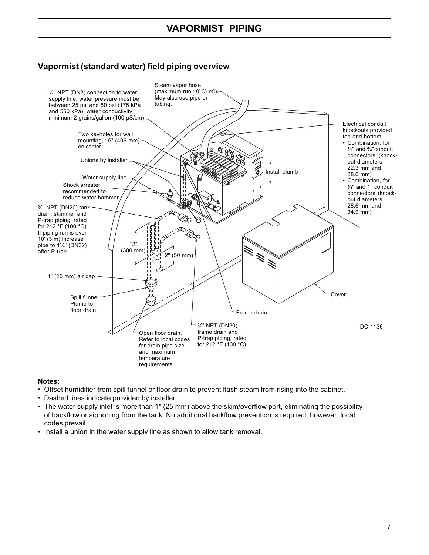# **VAPORMIST PIPING**

# **Vapormist (standard water) field piping overview**



#### **Notes:**

- Offset humidifier from spill funnel or floor drain to prevent flash steam from rising into the cabinet.
- Dashed lines indicate provided by installer.
- The water supply inlet is more than 1" (25 mm) above the skim/overflow port, eliminating the possibility of backflow or siphoning from the tank. No additional backflow prevention is required, however, local codes prevail.
- Install a union in the water supply line as shown to allow tank removal.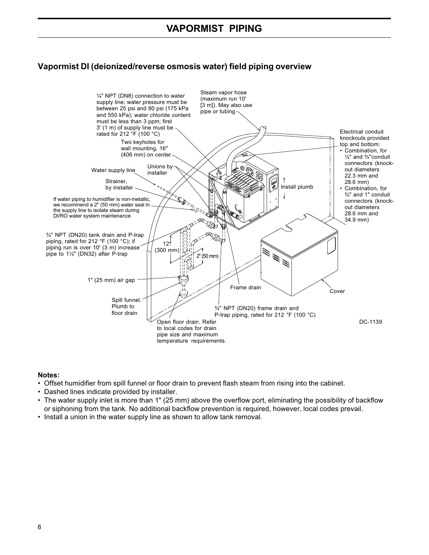# **Vapormist DI (deionized/reverse osmosis water) field piping overview**



#### **Notes:**

- Offset humidifier from spill funnel or floor drain to prevent flash steam from rising into the cabinet.
- Dashed lines indicate provided by installer.
- The water supply inlet is more than 1" (25 mm) above the overflow port, eliminating the possibility of backflow or siphoning from the tank. No additional backflow prevention is required, however, local codes prevail.
- Install a union in the water supply line as shown to allow tank removal.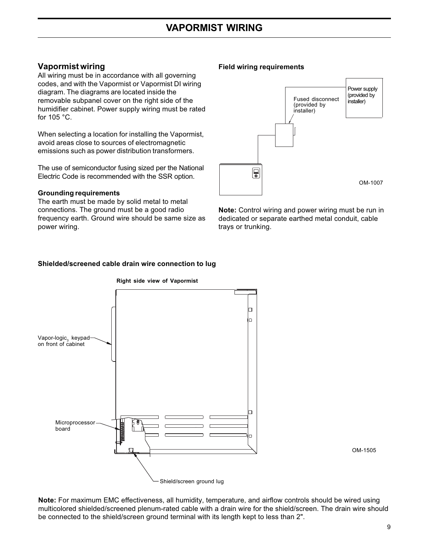# **Vapormist wiring**

All wiring must be in accordance with all governing codes, and with the Vapormist or Vapormist DI wiring diagram. The diagrams are located inside the removable subpanel cover on the right side of the humidifier cabinet. Power supply wiring must be rated for 105 °C.

When selecting a location for installing the Vapormist, avoid areas close to sources of electromagnetic emissions such as power distribution transformers.

The use of semiconductor fusing sized per the National Electric Code is recommended with the SSR option.

#### **Grounding requirements**

The earth must be made by solid metal to metal connections. The ground must be a good radio frequency earth. Ground wire should be same size as power wiring.

#### **Field wiring requirements**



**Note:** Control wiring and power wiring must be run in dedicated or separate earthed metal conduit, cable trays or trunking.

#### **Shielded/screened cable drain wire connection to lug**



OM-1505

**Note:** For maximum EMC effectiveness, all humidity, temperature, and airflow controls should be wired using multicolored shielded/screened plenum-rated cable with a drain wire for the shield/screen. The drain wire should be connected to the shield/screen ground terminal with its length kept to less than 2".

# **Right side view of Vapormist**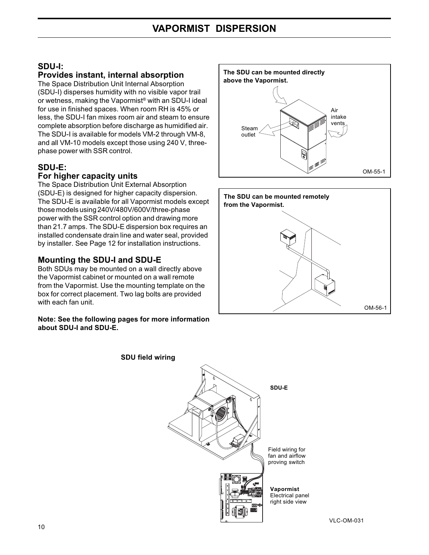#### **SDU-I: Provides instant, internal absorption**

The Space Distribution Unit Internal Absorption (SDU-I) disperses humidity with no visible vapor trail or wetness, making the Vapormist® with an SDU-I ideal for use in finished spaces. When room RH is 45% or less, the SDU-I fan mixes room air and steam to ensure complete absorption before discharge as humidified air. The SDU-I is available for models VM-2 through VM-8, and all VM-10 models except those using 240 V, threephase power with SSR control.

# **SDU-E:**

#### **For higher capacity units**

The Space Distribution Unit External Absorption (SDU-E) is designed for higher capacity dispersion. The SDU-E is available for all Vapormist models except those models using 240V/480V/600V/three-phase power with the SSR control option and drawing more than 21.7 amps. The SDU-E dispersion box requires an installed condensate drain line and water seal, provided by installer. See Page 12 for installation instructions.

# **Mounting the SDU-I and SDU-E**

Both SDUs may be mounted on a wall directly above the Vapormist cabinet or mounted on a wall remote from the Vapormist. Use the mounting template on the box for correct placement. Two lag bolts are provided with each fan unit.

#### **Note: See the following pages for more information about SDU-I and SDU-E.**

**SDU field wiring**







fan and airflow proving switch

Electrical panel right side view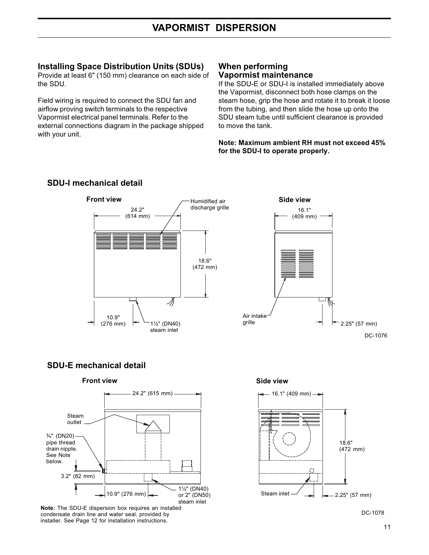# **Installing Space Distribution Units (SDUs)**

Provide at least 6" (150 mm) clearance on each side of the SDU.

Field wiring is required to connect the SDU fan and airflow proving switch terminals to the respective Vapormist electrical panel terminals. Refer to the external connections diagram in the package shipped with your unit.

#### **When performing Vapormist maintenance**

If the SDU-E or SDU-I is installed immediately above the Vapormist, disconnect both hose clamps on the steam hose, grip the hose and rotate it to break it loose from the tubing, and then slide the hose up onto the SDU steam tube until sufficient clearance is provided to move the tank.

**Note: Maximum ambient RH must not exceed 45% for the SDU-I to operate properly.**



# **SDU-I mechanical detail**

#### **SDU-E mechanical detail**

#### **Front view Side view**



**Note:** The SDU-E dispersion box requires an installed condensate drain line and water seal, provided by installer. See Page 12 for installation instructions.





DC-1078

2.25" (57 mm)

DC-1076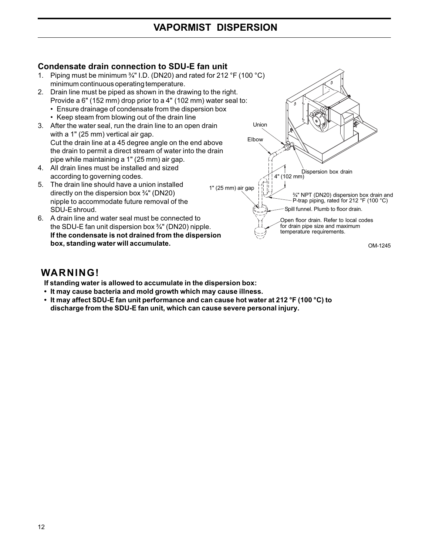# **Condensate drain connection to SDU-E fan unit**

- 1. Piping must be minimum ¾" I.D. (DN20) and rated for 212 °F (100 °C) minimum continuous operating temperature.
- 2. Drain line must be piped as shown in the drawing to the right. Provide a 6" (152 mm) drop prior to a 4" (102 mm) water seal to:
	- Ensure drainage of condensate from the dispersion box
	- Keep steam from blowing out of the drain line
- 3. After the water seal, run the drain line to an open drain with a 1" (25 mm) vertical air gap. Cut the drain line at a 45 degree angle on the end above the drain to permit a direct stream of water into the drain pipe while maintaining a 1" (25 mm) air gap.
- 4. All drain lines must be installed and sized according to governing codes.
- 5. The drain line should have a union installed directly on the dispersion box ¾" (DN20) nipple to accommodate future removal of the SDU-E shroud.
- 6. A drain line and water seal must be connected to the SDU-E fan unit dispersion box ¾" (DN20) nipple. **If the condensate is not drained from the dispersion box, standing water will accumulate.**



OM-1245

# **WARNING!**

**If standing water is allowed to accumulate in the dispersion box:**

- **It may cause bacteria and mold growth which may cause illness.**
- **It may affect SDU-E fan unit performance and can cause hot water at 212 °F (100 °C) to discharge from the SDU-E fan unit, which can cause severe personal injury.**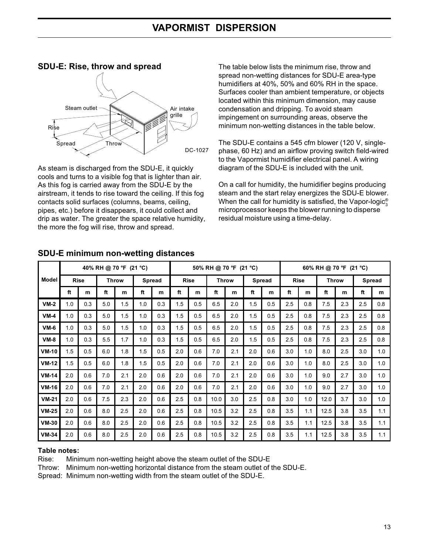# **SDU-E: Rise, throw and spread** Steam outlet  $\leftarrow$  Air intake grille Rise Spread / Throw DC-1027

As steam is discharged from the SDU-E, it quickly cools and turns to a visible fog that is lighter than air. As this fog is carried away from the SDU-E by the airstream, it tends to rise toward the ceiling. If this fog contacts solid surfaces (columns, beams, ceiling, pipes, etc.) before it disappears, it could collect and drip as water. The greater the space relative humidity, the more the fog will rise, throw and spread.

The table below lists the minimum rise, throw and spread non-wetting distances for SDU-E area-type humidifiers at 40%, 50% and 60% RH in the space. Surfaces cooler than ambient temperature, or objects located within this minimum dimension, may cause condensation and dripping. To avoid steam impingement on surrounding areas, observe the minimum non-wetting distances in the table below.

The SDU-E contains a 545 cfm blower (120 V, singlephase, 60 Hz) and an airflow proving switch field-wired to the Vapormist humidifier electrical panel. A wiring diagram of the SDU-E is included with the unit.

On a call for humidity, the humidifier begins producing steam and the start relay energizes the SDU-E blower. When the call for humidity is satisfied, the Vapor-logic $^{\circ}_{3}$ microprocessor keeps the blower running to disperse residual moisture using a time-delay.

|              | 40% RH @ 70 °F (21 °C) |     |              |     |               |     | 50% RH @ 70 °F (21 °C) |                             |      |     |               | 60% RH @ 70 °F (21 °C) |             |     |              |     |     |               |
|--------------|------------------------|-----|--------------|-----|---------------|-----|------------------------|-----------------------------|------|-----|---------------|------------------------|-------------|-----|--------------|-----|-----|---------------|
| <b>Model</b> | <b>Rise</b>            |     | <b>Throw</b> |     | <b>Spread</b> |     |                        | <b>Rise</b><br><b>Throw</b> |      |     | <b>Spread</b> |                        | <b>Rise</b> |     | <b>Throw</b> |     |     | <b>Spread</b> |
|              | ft                     | m   | ft           | m   | ft            | m   | ft                     | m                           | ft   | m   | ft            | m                      | ft          | m   | ft           | m   | ft  | m             |
| $VM-2$       | 1.0                    | 0.3 | 5.0          | 1.5 | 1.0           | 0.3 | 1.5                    | 0.5                         | 6.5  | 2.0 | 1.5           | 0.5                    | 2.5         | 0.8 | 7.5          | 2.3 | 2.5 | 0.8           |
| $VM-4$       | 1.0                    | 0.3 | 5.0          | 1.5 | 1.0           | 0.3 | 1.5                    | 0.5                         | 6.5  | 2.0 | 1.5           | 0.5                    | 2.5         | 0.8 | 7.5          | 2.3 | 2.5 | 0.8           |
| $VM-6$       | 1.0                    | 0.3 | 5.0          | 1.5 | 1.0           | 0.3 | 1.5                    | 0.5                         | 6.5  | 2.0 | 1.5           | 0.5                    | 2.5         | 0.8 | 7.5          | 2.3 | 2.5 | 0.8           |
| $VM-8$       | 1.0                    | 0.3 | 5.5          | 1.7 | 1.0           | 0.3 | 1.5                    | 0.5                         | 6.5  | 2.0 | 1.5           | 0.5                    | 2.5         | 0.8 | 7.5          | 2.3 | 2.5 | 0.8           |
| VM-10        | 1.5                    | 0.5 | 6.0          | 1.8 | 1.5           | 0.5 | 2.0                    | 0.6                         | 7.0  | 2.1 | 2.0           | 0.6                    | 3.0         | 1.0 | 8.0          | 2.5 | 3.0 | 1.0           |
| <b>VM-12</b> | 1.5                    | 0.5 | 6.0          | 1.8 | 1.5           | 0.5 | 2.0                    | 0.6                         | 7.0  | 2.1 | 2.0           | 0.6                    | 3.0         | 1.0 | 8.0          | 2.5 | 3.0 | 1.0           |
| $VM-14$      | 2.0                    | 0.6 | 7.0          | 2.1 | 2.0           | 0.6 | 2.0                    | 0.6                         | 7.0  | 2.1 | 2.0           | 0.6                    | 3.0         | 1.0 | 9.0          | 2.7 | 3.0 | 1.0           |
| VM-16        | 2.0                    | 0.6 | 7.0          | 2.1 | 2.0           | 0.6 | 2.0                    | 0.6                         | 7.0  | 2.1 | 2.0           | 0.6                    | 3.0         | 1.0 | 9.0          | 2.7 | 3.0 | 1.0           |
| $VM-21$      | 2.0                    | 0.6 | 7.5          | 2.3 | 2.0           | 0.6 | 2.5                    | 0.8                         | 10.0 | 3.0 | 2.5           | 0.8                    | 3.0         | 1.0 | 12.0         | 3.7 | 3.0 | 1.0           |
| $VM-25$      | 2.0                    | 0.6 | 8.0          | 2.5 | 2.0           | 0.6 | 2.5                    | 0.8                         | 10.5 | 3.2 | 2.5           | 0.8                    | 3.5         | 1.1 | 12.5         | 3.8 | 3.5 | 1.1           |
| <b>VM-30</b> | 2.0                    | 0.6 | 8.0          | 2.5 | 2.0           | 0.6 | 2.5                    | 0.8                         | 10.5 | 3.2 | 2.5           | 0.8                    | 3.5         | 1.1 | 12.5         | 3.8 | 3.5 | 1.1           |
| <b>VM-34</b> | 2.0                    | 0.6 | 8.0          | 2.5 | 2.0           | 0.6 | 2.5                    | 0.8                         | 10.5 | 3.2 | 2.5           | 0.8                    | 3.5         | 1.1 | 12.5         | 3.8 | 3.5 | 1.1           |

# **SDU-E minimum non-wetting distances**

#### **Table notes:**

Rise: Minimum non-wetting height above the steam outlet of the SDU-E

Throw: Minimum non-wetting horizontal distance from the steam outlet of the SDU-E.

Spread: Minimum non-wetting width from the steam outlet of the SDU-E.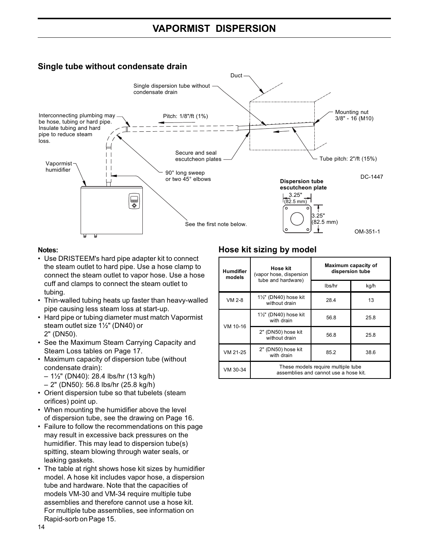# **Single tube without condensate drain**



#### **Notes:**

- Use DRISTEEM's hard pipe adapter kit to connect the steam outlet to hard pipe. Use a hose clamp to connect the steam outlet to vapor hose. Use a hose cuff and clamps to connect the steam outlet to tubing.
- Thin-walled tubing heats up faster than heavy-walled pipe causing less steam loss at start-up.
- Hard pipe or tubing diameter must match Vapormist steam outlet size 1½" (DN40) or 2" (DN50).
- See the Maximum Steam Carrying Capacity and Steam Loss tables on Page 17.
- Maximum capacity of dispersion tube (without condensate drain):
	- 1½" (DN40): 28.4 lbs/hr (13 kg/h)
	- 2" (DN50): 56.8 lbs/hr (25.8 kg/h)
- Orient dispersion tube so that tubelets (steam orifices) point up.
- When mounting the humidifier above the level of dispersion tube, see the drawing on Page 16.
- Failure to follow the recommendations on this page may result in excessive back pressures on the humidifier. This may lead to dispersion tube(s) spitting, steam blowing through water seals, or leaking gaskets.
- The table at right shows hose kit sizes by humidifier model. A hose kit includes vapor hose, a dispersion tube and hardware. Note that the capacities of models VM-30 and VM-34 require multiple tube assemblies and therefore cannot use a hose kit. For multiple tube assemblies, see information on Rapid-sorb on Page 15.

# **Hose kit sizing by model**

| <b>Humdifier</b><br>models | Hose kit<br>(vapor hose, dispersion                                         | Maximum capacity of<br>dispersion tube |      |  |  |  |
|----------------------------|-----------------------------------------------------------------------------|----------------------------------------|------|--|--|--|
|                            | tube and hardware)                                                          | lbs/hr                                 | kg/h |  |  |  |
| VM 2-8                     | 11/2" (DN40) hose kit<br>without drain                                      | 28.4                                   | 13   |  |  |  |
| VM 10-16                   | 11/2" (DN40) hose kit<br>with drain                                         | 56.8                                   | 25.8 |  |  |  |
|                            | 2" (DN50) hose kit<br>without drain                                         | 56.8                                   | 25.8 |  |  |  |
| VM 21-25                   | 2" (DN50) hose kit<br>with drain                                            | 85.2                                   | 38.6 |  |  |  |
| VM 30-34                   | These models require multiple tube<br>assemblies and cannot use a hose kit. |                                        |      |  |  |  |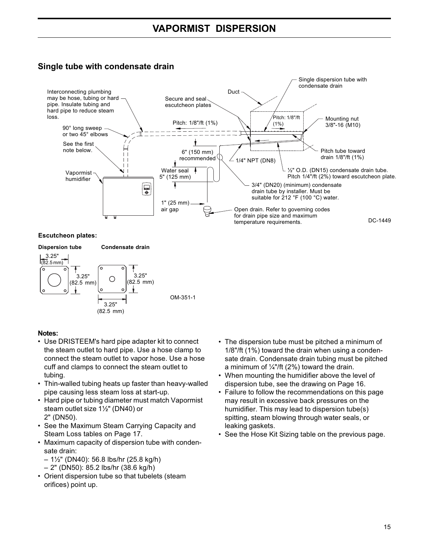# **Single tube with condensate drain**



#### **Escutcheon plates:**



#### **Notes:**

- Use DRISTEEM's hard pipe adapter kit to connect the steam outlet to hard pipe. Use a hose clamp to connect the steam outlet to vapor hose. Use a hose cuff and clamps to connect the steam outlet to tubing.
- Thin-walled tubing heats up faster than heavy-walled pipe causing less steam loss at start-up.
- Hard pipe or tubing diameter must match Vapormist steam outlet size 1½" (DN40) or 2" (DN50).
- See the Maximum Steam Carrying Capacity and Steam Loss tables on Page 17.
- Maximum capacity of dispersion tube with condensate drain:
	- 1½" (DN40): 56.8 lbs/hr (25.8 kg/h)
	- 2" (DN50): 85.2 lbs/hr (38.6 kg/h)
- Orient dispersion tube so that tubelets (steam orifices) point up.
- The dispersion tube must be pitched a minimum of 1/8"/ft (1%) toward the drain when using a condensate drain. Condensate drain tubing must be pitched a minimum of  $\frac{1}{4}$ "/ft (2%) toward the drain.
- When mounting the humidifier above the level of dispersion tube, see the drawing on Page 16.
- Failure to follow the recommendations on this page may result in excessive back pressures on the humidifier. This may lead to dispersion tube(s) spitting, steam blowing through water seals, or leaking gaskets.
- See the Hose Kit Sizing table on the previous page.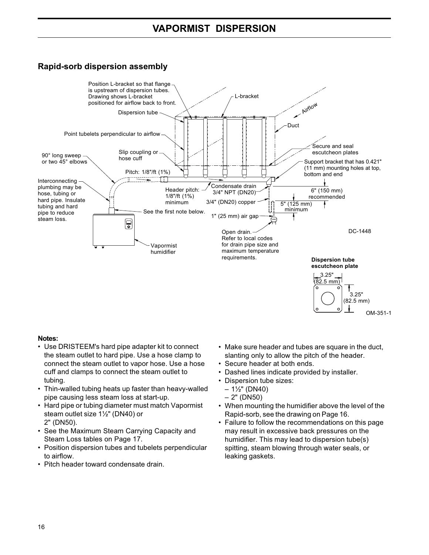# **Rapid-sorb dispersion assembly**



#### **Notes:**

- Use DRISTEEM's hard pipe adapter kit to connect the steam outlet to hard pipe. Use a hose clamp to connect the steam outlet to vapor hose. Use a hose cuff and clamps to connect the steam outlet to tubing.
- Thin-walled tubing heats up faster than heavy-walled pipe causing less steam loss at start-up.
- Hard pipe or tubing diameter must match Vapormist steam outlet size 1½" (DN40) or 2" (DN50).
- See the Maximum Steam Carrying Capacity and Steam Loss tables on Page 17.
- Position dispersion tubes and tubelets perpendicular to airflow.
- Pitch header toward condensate drain.
- Make sure header and tubes are square in the duct, slanting only to allow the pitch of the header.
- Secure header at both ends.
- Dashed lines indicate provided by installer.
- Dispersion tube sizes:
	- $-1\frac{1}{2}$ " (DN40)
	- 2" (DN50)
- When mounting the humidifier above the level of the Rapid-sorb, see the drawing on Page 16.
- Failure to follow the recommendations on this page may result in excessive back pressures on the humidifier. This may lead to dispersion tube(s) spitting, steam blowing through water seals, or leaking gaskets.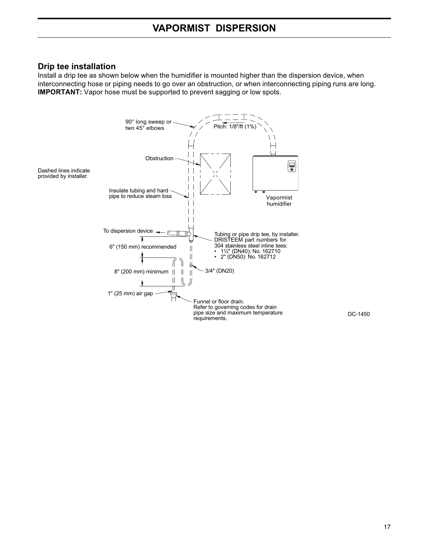#### **Drip tee installation**

Install a drip tee as shown below when the humidifier is mounted higher than the dispersion device, when interconnecting hose or piping needs to go over an obstruction, or when interconnecting piping runs are long. **IMPORTANT:** Vapor hose must be supported to prevent sagging or low spots.



DC-1450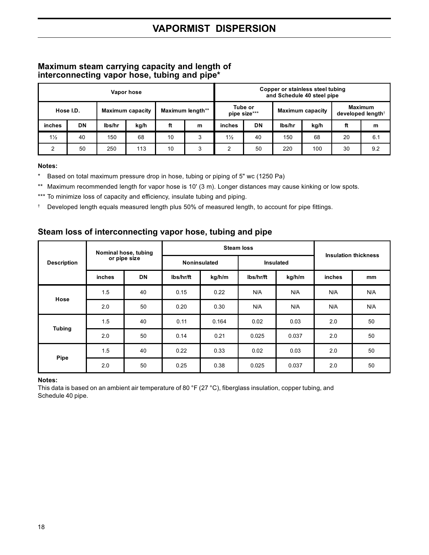#### **Maximum steam carrying capacity and length of interconnecting vapor hose, tubing and pipe\***

| Vapor hose     |           |        |                         |    |                  | Copper or stainless steel tubing<br>and Schedule 40 steel pipe |           |        |      |    |     |                         |  |  |                                          |
|----------------|-----------|--------|-------------------------|----|------------------|----------------------------------------------------------------|-----------|--------|------|----|-----|-------------------------|--|--|------------------------------------------|
|                | Hose I.D. |        | <b>Maximum capacity</b> |    | Maximum length** | Tube or<br>pipe size***                                        |           |        |      |    |     | <b>Maximum capacity</b> |  |  | Maximum<br>developed length <sup>+</sup> |
| inches         | <b>DN</b> | lbs/hr | kg/h                    | ft | m                | inches                                                         | <b>DN</b> | lbs/hr | kg/h | ft | m   |                         |  |  |                                          |
| $1\frac{1}{2}$ | 40        | 150    | 68                      | 10 | 3                | $1\frac{1}{2}$                                                 | 40        | 150    | 68   | 20 | 6.1 |                         |  |  |                                          |
| っ              | 50        | 250    | 113                     | 10 | 3                | 2                                                              | 50        | 220    | 100  | 30 | 9.2 |                         |  |  |                                          |

#### **Notes:**

\* Based on total maximum pressure drop in hose, tubing or piping of 5" wc (1250 Pa)

\*\* Maximum recommended length for vapor hose is 10' (3 m). Longer distances may cause kinking or low spots.

\*\*\* To minimize loss of capacity and efficiency, insulate tubing and piping.

† Developed length equals measured length plus 50% of measured length, to account for pipe fittings.

#### **Steam loss of interconnecting vapor hose, tubing and pipe**

|                    | Nominal hose, tubing<br>or pipe size |           |                     | <b>Steam loss</b> | <b>Insulation thickness</b> |                  |               |               |
|--------------------|--------------------------------------|-----------|---------------------|-------------------|-----------------------------|------------------|---------------|---------------|
| <b>Description</b> |                                      |           | <b>Noninsulated</b> |                   |                             | <b>Insulated</b> |               |               |
|                    | inches                               | <b>DN</b> | lbs/hr/ft           | kg/h/m            | lbs/hr/ft                   | kg/h/m           | <b>inches</b> | <sub>mm</sub> |
| Hose               | 1.5                                  | 40        | 0.15                | 0.22              | N/A                         | N/A              | N/A           | N/A           |
|                    | 2.0                                  | 50        | 0.20                | 0.30              | N/A                         | N/A              | N/A           | N/A           |
|                    | 1.5                                  | 40        | 0.11                | 0.164             | 0.02                        | 0.03             | 2.0           | 50            |
| <b>Tubing</b>      | 2.0                                  | 50        | 0.14                | 0.21              | 0.025                       | 0.037            | 2.0           | 50            |
| Pipe               | 1.5                                  | 40        | 0.22                | 0.33              | 0.02                        | 0.03             | 2.0           | 50            |
|                    | 2.0                                  | 50        | 0.25                | 0.38              | 0.025                       | 0.037            | 2.0           | 50            |

#### **Notes:**

This data is based on an ambient air temperature of 80 °F (27 °C), fiberglass insulation, copper tubing, and Schedule 40 pipe.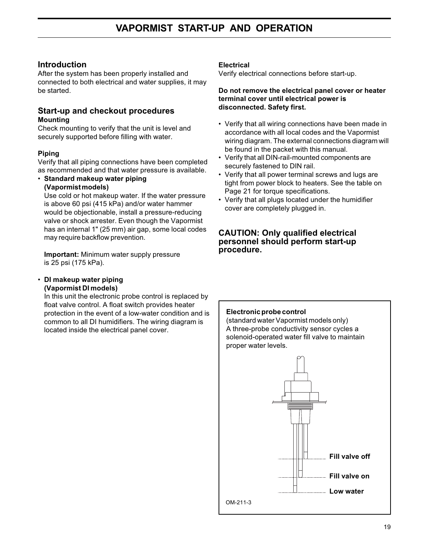# **Introduction**

After the system has been properly installed and connected to both electrical and water supplies, it may be started.

#### **Start-up and checkout procedures Mounting**

Check mounting to verify that the unit is level and securely supported before filling with water.

#### **Piping**

Verify that all piping connections have been completed as recommended and that water pressure is available.

• **Standard makeup water piping (Vapormist models)**

Use cold or hot makeup water. If the water pressure is above 60 psi (415 kPa) and/or water hammer would be objectionable, install a pressure-reducing valve or shock arrester. Even though the Vapormist has an internal 1" (25 mm) air gap, some local codes may require backflow prevention.

**Important:** Minimum water supply pressure is 25 psi (175 kPa).

#### • **DI makeup water piping (Vapormist DI models)**

In this unit the electronic probe control is replaced by float valve control. A float switch provides heater protection in the event of a low-water condition and is common to all DI humidifiers. The wiring diagram is located inside the electrical panel cover.

#### **Electrical**

Verify electrical connections before start-up.

#### **Do not remove the electrical panel cover or heater terminal cover until electrical power is disconnected. Safety first.**

- Verify that all wiring connections have been made in accordance with all local codes and the Vapormist wiring diagram. The external connections diagram will be found in the packet with this manual.
- Verify that all DIN-rail-mounted components are securely fastened to DIN rail.
- Verify that all power terminal screws and lugs are tight from power block to heaters. See the table on Page 21 for torque specifications.
- Verify that all plugs located under the humidifier cover are completely plugged in.

#### **CAUTION: Only qualified electrical personnel should perform start-up procedure.**

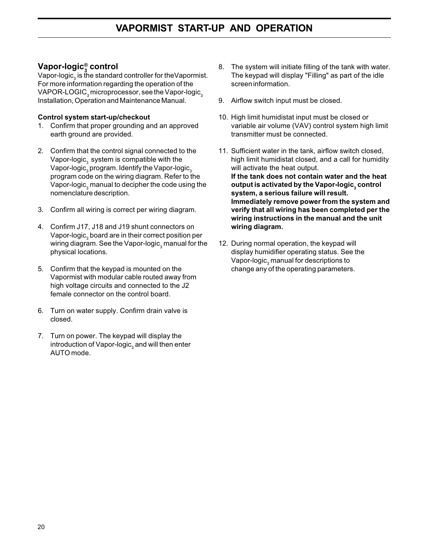# **Vapor-logic® 3 control**

Vapor-logic $_{_3}$  is the standard controller for theVapormist. For more information regarding the operation of the VAPOR-LOGIC<sub>3</sub> microprocessor, see the Vapor-logic<sub>3</sub> Installation, Operation and Maintenance Manual.

#### **Control system start-up/checkout**

- 1. Confirm that proper grounding and an approved earth ground are provided.
- 2. Confirm that the control signal connected to the Vapor-logic $_{_3}$  system is compatible with the Vapor-logic $_{_3}$ program. Identify the Vapor-logic $_{_3}$ program code on the wiring diagram. Refer to the Vapor-logic $_{_3}$ manual to decipher the code using the nomenclature description.
- 3. Confirm all wiring is correct per wiring diagram.
- 4. Confirm J17, J18 and J19 shunt connectors on Vapor-logic $_{_3}$ board are in their correct position per wiring diagram. See the Vapor-logic $_{_3}$ manual for the physical locations.
- 5. Confirm that the keypad is mounted on the Vapormist with modular cable routed away from high voltage circuits and connected to the J2 female connector on the control board.
- 6. Turn on water supply. Confirm drain valve is closed.
- 7. Turn on power. The keypad will display the introduction of Vapor-logic $_{_3}$  and will then enter AUTO mode.
- 8. The system will initiate filling of the tank with water. The keypad will display "Filling" as part of the idle screen information.
- 9. Airflow switch input must be closed.
- 10. High limit humidistat input must be closed or variable air volume (VAV) control system high limit transmitter must be connected.
- 11. Sufficient water in the tank, airflow switch closed, high limit humidistat closed, and a call for humidity will activate the heat output. **If the tank does not contain water and the heat** output is activated by the Vapor-logic, control **system, a serious failure will result. Immediately remove power from the system and verify that all wiring has been completed per the wiring instructions in the manual and the unit wiring diagram.**
- 12. During normal operation, the keypad will display humidifier operating status. See the Vapor-logic $_{_3}$ manual for descriptions to change any of the operating parameters.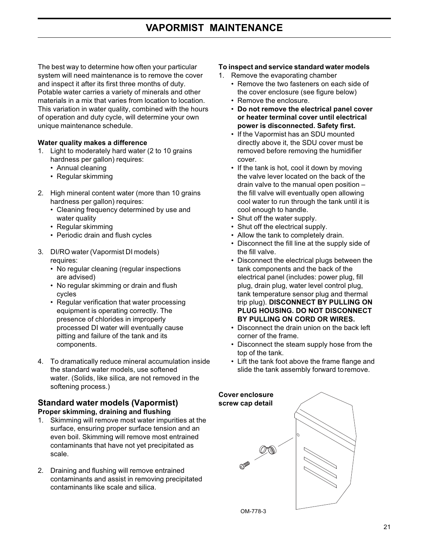# **VAPORMIST MAINTENANCE**

The best way to determine how often your particular system will need maintenance is to remove the cover and inspect it after its first three months of duty. Potable water carries a variety of minerals and other materials in a mix that varies from location to location. This variation in water quality, combined with the hours of operation and duty cycle, will determine your own unique maintenance schedule.

#### **Water quality makes a difference**

- 1. Light to moderately hard water (2 to 10 grains hardness per gallon) requires:
	- Annual cleaning
	- Regular skimming
- 2. High mineral content water (more than 10 grains hardness per gallon) requires:
	- Cleaning frequency determined by use and water quality
	- Regular skimming
	- Periodic drain and flush cycles
- 3. DI/RO water (Vapormist DI models) requires:
	- No regular cleaning (regular inspections are advised)
	- No regular skimming or drain and flush cycles
	- Regular verification that water processing equipment is operating correctly. The presence of chlorides in improperly processed DI water will eventually cause pitting and failure of the tank and its components.
- 4. To dramatically reduce mineral accumulation inside the standard water models, use softened water. (Solids, like silica, are not removed in the softening process.)

#### **Standard water models (Vapormist) Proper skimming, draining and flushing**

- 1. Skimming will remove most water impurities at the surface, ensuring proper surface tension and an even boil. Skimming will remove most entrained contaminants that have not yet precipitated as scale.
- 2. Draining and flushing will remove entrained contaminants and assist in removing precipitated contaminants like scale and silica.

#### **To inspect and service standard water models**

- 1. Remove the evaporating chamber
	- Remove the two fasteners on each side of the cover enclosure (see figure below)
	- Remove the enclosure.
	- **Do not remove the electrical panel cover or heater terminal cover until electrical power is disconnected. Safety first.**
	- If the Vapormist has an SDU mounted directly above it, the SDU cover must be removed before removing the humidifier cover.
	- If the tank is hot, cool it down by moving the valve lever located on the back of the drain valve to the manual open position – the fill valve will eventually open allowing cool water to run through the tank until it is cool enough to handle.
	- Shut off the water supply.
	- Shut off the electrical supply.
	- Allow the tank to completely drain.
	- Disconnect the fill line at the supply side of the fill valve.
	- Disconnect the electrical plugs between the tank components and the back of the electrical panel (includes: power plug, fill plug, drain plug, water level control plug, tank temperature sensor plug and thermal trip plug). **DISCONNECT BY PULLING ON PLUG HOUSING. DO NOT DISCONNECT BY PULLING ON CORD OR WIRES.**
	- Disconnect the drain union on the back left corner of the frame.
	- Disconnect the steam supply hose from the top of the tank.
	- Lift the tank foot above the frame flange and slide the tank assembly forward toremove.

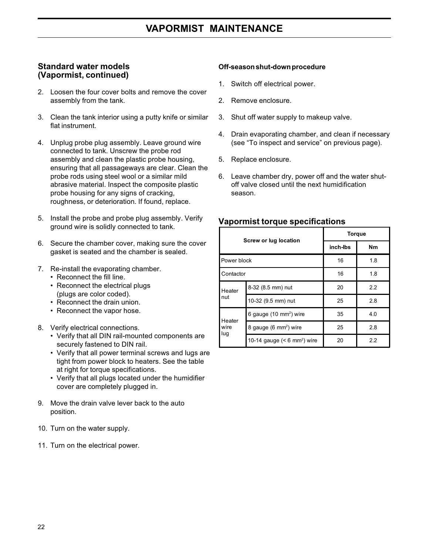#### **Standard water models (Vapormist, continued)**

- 2. Loosen the four cover bolts and remove the cover assembly from the tank.
- 3. Clean the tank interior using a putty knife or similar flat instrument.
- 4. Unplug probe plug assembly. Leave ground wire connected to tank. Unscrew the probe rod assembly and clean the plastic probe housing, ensuring that all passageways are clear. Clean the probe rods using steel wool or a similar mild abrasive material. Inspect the composite plastic probe housing for any signs of cracking, roughness, or deterioration. If found, replace.
- 5. Install the probe and probe plug assembly. Verify ground wire is solidly connected to tank.
- 6. Secure the chamber cover, making sure the cover gasket is seated and the chamber is sealed.
- 7. Re-install the evaporating chamber.
	- Reconnect the fill line.
	- Reconnect the electrical plugs (plugs are color coded).
	- Reconnect the drain union.
	- Reconnect the vapor hose.
- 8. Verify electrical connections.
	- Verify that all DIN rail-mounted components are securely fastened to DIN rail.
	- Verify that all power terminal screws and lugs are tight from power block to heaters. See the table at right for torque specifications.
	- Verify that all plugs located under the humidifier cover are completely plugged in.
- 9. Move the drain valve lever back to the auto position.
- 10. Turn on the water supply.
- 11. Turn on the electrical power.

#### **Off-season shut-down procedure**

- 1. Switch off electrical power.
- 2. Remove enclosure.
- 3. Shut off water supply to makeup valve.
- 4. Drain evaporating chamber, and clean if necessary (see "To inspect and service" on previous page).
- 5. Replace enclosure.
- 6. Leave chamber dry, power off and the water shutoff valve closed until the next humidification season.

|                       |                                           | <b>Torque</b> |           |  |  |  |
|-----------------------|-------------------------------------------|---------------|-----------|--|--|--|
|                       | Screw or lug location                     | inch-lbs      | <b>Nm</b> |  |  |  |
| Power block           |                                           | 16            | 1.8       |  |  |  |
| <b>Contactor</b>      |                                           | 16            | 1.8       |  |  |  |
| Heater                | 8-32 (8.5 mm) nut                         | 20            | 2.2       |  |  |  |
| nut                   | 10-32 (9.5 mm) nut                        | 25            | 2.8       |  |  |  |
|                       | 6 gauge (10 mm <sup>2</sup> ) wire        | 35            | 4.0       |  |  |  |
| Heater<br>wire<br>lug | 8 gauge (6 mm <sup>2</sup> ) wire         | 25            | 2.8       |  |  |  |
|                       | 10-14 gauge $(< 6$ mm <sup>2</sup> ) wire | 20            | 2.2       |  |  |  |

## **Vapormist torque specifications**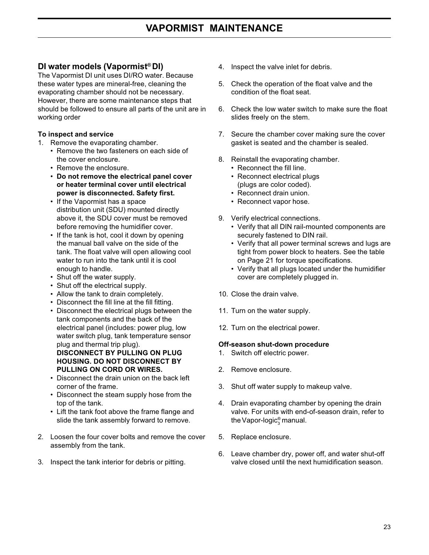## **DI water models (Vapormist® DI)**

The Vapormist DI unit uses DI/RO water. Because these water types are mineral-free, cleaning the evaporating chamber should not be necessary. However, there are some maintenance steps that should be followed to ensure all parts of the unit are in working order

#### **To inspect and service**

- 1. Remove the evaporating chamber.
	- Remove the two fasteners on each side of the cover enclosure.
	- Remove the enclosure.
	- **Do not remove the electrical panel cover or heater terminal cover until electrical power is disconnected. Safety first.**
	- If the Vapormist has a space distribution unit (SDU) mounted directly above it, the SDU cover must be removed before removing the humidifier cover.
	- If the tank is hot, cool it down by opening the manual ball valve on the side of the tank. The float valve will open allowing cool water to run into the tank until it is cool enough to handle.
	- Shut off the water supply.
	- Shut off the electrical supply.
	- Allow the tank to drain completely.
	- Disconnect the fill line at the fill fitting.
	- Disconnect the electrical plugs between the tank components and the back of the electrical panel (includes: power plug, low water switch plug, tank temperature sensor plug and thermal trip plug). **DISCONNECT BY PULLING ON PLUG HOUSING. DO NOT DISCONNECT BY PULLING ON CORD OR WIRES.**
	- Disconnect the drain union on the back left corner of the frame.
	- Disconnect the steam supply hose from the top of the tank.
	- Lift the tank foot above the frame flange and slide the tank assembly forward to remove.
- 2. Loosen the four cover bolts and remove the cover assembly from the tank.
- 3. Inspect the tank interior for debris or pitting.
- 4. Inspect the valve inlet for debris.
- 5. Check the operation of the float valve and the condition of the float seat.
- 6. Check the low water switch to make sure the float slides freely on the stem.
- 7. Secure the chamber cover making sure the cover gasket is seated and the chamber is sealed.
- 8. Reinstall the evaporating chamber.
	- Reconnect the fill line.
	- Reconnect electrical plugs (plugs are color coded).
	- Reconnect drain union.
	- Reconnect vapor hose.
- 9. Verify electrical connections.
	- Verify that all DIN rail-mounted components are securely fastened to DIN rail.
	- Verify that all power terminal screws and lugs are tight from power block to heaters. See the table on Page 21 for torque specifications.
	- Verify that all plugs located under the humidifier cover are completely plugged in.
- 10. Close the drain valve.
- 11. Turn on the water supply.
- 12. Turn on the electrical power.

#### **Off-season shut-down procedure**

- 1. Switch off electric power.
- 2. Remove enclosure.
- 3. Shut off water supply to makeup valve.
- 4. Drain evaporating chamber by opening the drain valve. For units with end-of-season drain, refer to the Vapor-logic $_{3}^{\circ}$ manual.
- 5. Replace enclosure.
- 6. Leave chamber dry, power off, and water shut-off valve closed until the next humidification season.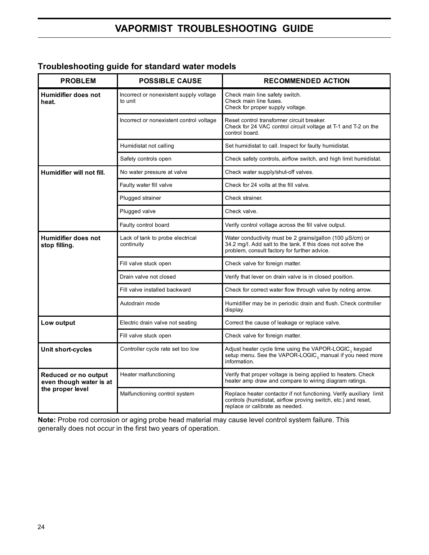# **VAPORMIST TROUBLESHOOTING GUIDE**

# **Troubleshooting guide for standard water models**

| <b>PROBLEM</b>                                  | <b>POSSIBLE CAUSE</b>                              | <b>RECOMMENDED ACTION</b>                                                                                                                                                |  |
|-------------------------------------------------|----------------------------------------------------|--------------------------------------------------------------------------------------------------------------------------------------------------------------------------|--|
| Humidifier does not<br>heat.                    | Incorrect or nonexistent supply voltage<br>to unit | Check main line safety switch.<br>Check main line fuses.<br>Check for proper supply voltage.                                                                             |  |
|                                                 | Incorrect or nonexistent control voltage           | Reset control transformer circuit breaker.<br>Check for 24 VAC control circuit voltage at T-1 and T-2 on the<br>control board.                                           |  |
|                                                 | Humidistat not calling                             | Set humidistat to call. Inspect for faulty humidistat.                                                                                                                   |  |
|                                                 | Safety controls open                               | Check safety controls, airflow switch, and high limit humidistat.                                                                                                        |  |
| Humidifier will not fill.                       | No water pressure at valve                         | Check water supply/shut-off valves.                                                                                                                                      |  |
|                                                 | Faulty water fill valve                            | Check for 24 volts at the fill valve.                                                                                                                                    |  |
|                                                 | Plugged strainer                                   | Check strainer.                                                                                                                                                          |  |
|                                                 | Plugged valve                                      | Check valve.                                                                                                                                                             |  |
|                                                 | Faulty control board                               | Verify control voltage across the fill valve output.                                                                                                                     |  |
| Humidifier does not<br>stop filling.            | Lack of tank to probe electrical<br>continuity     | Water conductivity must be 2 grains/gallon (100 µS/cm) or<br>34.2 mg/l. Add salt to the tank. If this does not solve the<br>problem, consult factory for further advice. |  |
|                                                 | Fill valve stuck open                              | Check valve for foreign matter.                                                                                                                                          |  |
|                                                 | Drain valve not closed                             | Verify that lever on drain valve is in closed position.                                                                                                                  |  |
|                                                 | Fill valve installed backward                      | Check for correct water flow through valve by noting arrow.                                                                                                              |  |
|                                                 | Autodrain mode                                     | Humidifier may be in periodic drain and flush. Check controller<br>display.                                                                                              |  |
| Low output                                      | Electric drain valve not seating                   | Correct the cause of leakage or replace valve.                                                                                                                           |  |
|                                                 | Fill valve stuck open                              | Check valve for foreign matter.                                                                                                                                          |  |
| Unit short-cycles                               | Controller cycle rate set too low                  | Adjust heater cycle time using the VAPOR-LOGIC <sub>3</sub> keypad<br>setup menu. See the VAPOR-LOGIC <sub>3</sub> manual if you need more<br>information.               |  |
| Reduced or no output<br>even though water is at | Heater malfunctioning                              | Verify that proper voltage is being applied to heaters. Check<br>heater amp draw and compare to wiring diagram ratings.                                                  |  |
| the proper level                                | Malfunctioning control system                      | Replace heater contactor if not functioning. Verify auxiliary limit<br>controls (humidistat, airflow proving switch, etc.) and reset,<br>replace or calibrate as needed. |  |

**Note:** Probe rod corrosion or aging probe head material may cause level control system failure. This generally does not occur in the first two years of operation.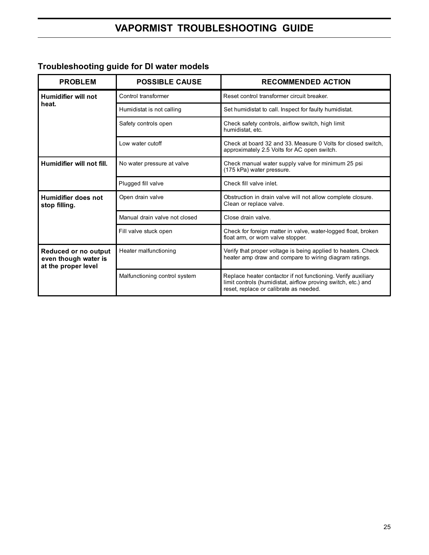# **Troubleshooting guide for DI water models**

| <b>PROBLEM</b>                                                      | <b>POSSIBLE CAUSE</b>         | <b>RECOMMENDED ACTION</b>                                                                                                                                                |  |  |
|---------------------------------------------------------------------|-------------------------------|--------------------------------------------------------------------------------------------------------------------------------------------------------------------------|--|--|
| Humidifier will not                                                 | Control transformer           | Reset control transformer circuit breaker.                                                                                                                               |  |  |
| heat.                                                               | Humidistat is not calling     | Set humidistat to call. Inspect for faulty humidistat.                                                                                                                   |  |  |
|                                                                     | Safety controls open          | Check safety controls, airflow switch, high limit<br>humidistat, etc.                                                                                                    |  |  |
|                                                                     | Low water cutoff              | Check at board 32 and 33. Measure 0 Volts for closed switch.<br>approximately 2.5 Volts for AC open switch.                                                              |  |  |
| Humidifier will not fill.                                           | No water pressure at valve    | Check manual water supply valve for minimum 25 psi<br>(175 kPa) water pressure.                                                                                          |  |  |
|                                                                     | Plugged fill valve            | Check fill valve inlet.                                                                                                                                                  |  |  |
| Humidifier does not<br>stop filling.                                | Open drain valve              | Obstruction in drain valve will not allow complete closure.<br>Clean or replace valve.                                                                                   |  |  |
|                                                                     | Manual drain valve not closed | Close drain valve.                                                                                                                                                       |  |  |
|                                                                     | Fill valve stuck open         | Check for foreign matter in valve, water-logged float, broken<br>float arm, or worn valve stopper.                                                                       |  |  |
| Reduced or no output<br>even though water is<br>at the proper level | Heater malfunctioning         | Verify that proper voltage is being applied to heaters. Check<br>heater amp draw and compare to wiring diagram ratings.                                                  |  |  |
|                                                                     | Malfunctioning control system | Replace heater contactor if not functioning. Verify auxiliary<br>limit controls (humidistat, airflow proving switch, etc.) and<br>reset, replace or calibrate as needed. |  |  |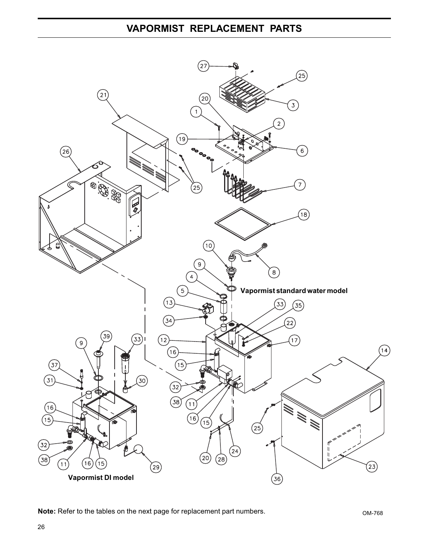# **VAPORMIST REPLACEMENT PARTS**



**Note:** Refer to the tables on the next page for replacement part numbers.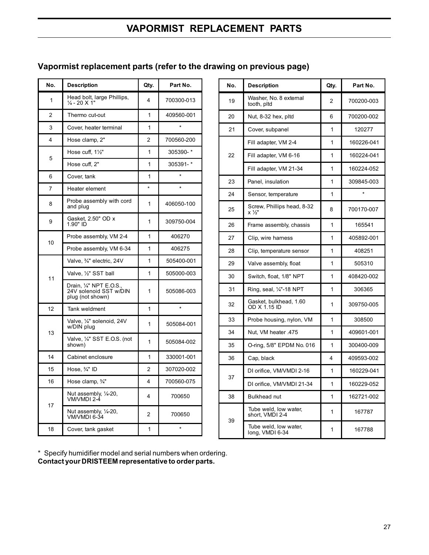# **VAPORMIST REPLACEMENT PARTS**

# **Vapormist replacement parts (refer to the drawing on previous page)**

| No. | <b>Description</b>                                                    | Qty. | Part No.   |
|-----|-----------------------------------------------------------------------|------|------------|
| 1   | Head bolt, large Phillips,<br>$\frac{1}{4}$ - 20 X 1"                 | 4    | 700300-013 |
| 2   | Thermo cut-out                                                        | 1    | 409560-001 |
| 3   | Cover, heater terminal                                                | 1    | ÷          |
| 4   | Hose clamp, 2"                                                        | 2    | 700560-200 |
|     | Hose cuff, 11/2"                                                      | 1    | 305390-*   |
| 5   | Hose cuff. 2"                                                         | 1    | 305391-*   |
| 6   | Cover, tank                                                           | 1    | $\star$    |
| 7   | Heater element                                                        | ÷    |            |
| 8   | Probe assembly with cord<br>and plug                                  | 1    | 406050-100 |
| 9   | Gasket, 2.50" OD x<br>1.90" ID                                        | 1    | 309750-004 |
|     | Probe assembly, VM 2-4                                                | 1    | 406270     |
| 10  | Probe assembly, VM 6-34                                               | 1    | 406275     |
|     | Valve, 3/4" electric, 24V                                             | 1    | 505400-001 |
| 11  | Valve, 1/ <sub>2</sub> " SST ball                                     | 1    | 505000-003 |
|     | Drain, 1/4" NPT E.O.S.,<br>24V solenoid SST w/DIN<br>plug (not shown) | 1    | 505086-003 |
| 12  | Tank weldment                                                         | 1    | $\star$    |
|     | Valve, 1/4" solenoid, 24V<br>w/DIN plug                               | 1    | 505084-001 |
| 13  | Valve, 1/4" SST E.O.S. (not<br>shown)                                 | 1    | 505084-002 |
| 14  | Cabinet enclosure                                                     | 1    | 330001-001 |
| 15  | Hose, ¾" ID                                                           | 2    | 307020-002 |
| 16  | Hose clamp, $\frac{3}{4}$ "                                           | 4    | 700560-075 |
|     | Nut assembly, 1/4-20,<br>VM/VMDI 2-4                                  | 4    | 700650     |
| 17  | Nut assembly, 1/4-20,<br>VM/VMDI 6-34                                 | 2    | 700650     |
| 18  | Cover, tank gasket                                                    | 1    | $\star$    |

| No. | <b>Description</b>                       | Qty. | Part No.   |
|-----|------------------------------------------|------|------------|
| 19  | Washer, No. 8 external<br>tooth, pltd    | 2    | 700200-003 |
| 20  | Nut, 8-32 hex, pltd                      | 6    | 700200-002 |
| 21  | Cover, subpanel                          | 1    | 120277     |
|     | Fill adapter, VM 2-4                     | 1    | 160226-041 |
| 22  | Fill adapter, VM 6-16                    | 1    | 160224-041 |
|     | Fill adapter, VM 21-34                   | 1    | 160224-052 |
| 23  | Panel, insulation                        | 1    | 309845-003 |
| 24  | Sensor, temperature                      | 1    |            |
| 25  | Screw, Phillips head, 8-32<br>x ½"       | 8    | 700170-007 |
| 26  | Frame assembly, chassis                  | 1    | 165541     |
| 27  | Clip, wire harness                       | 1    | 405892-001 |
| 28  | Clip, temperature sensor                 | 1    | 408251     |
| 29  | Valve assembly, float                    | 1    | 505310     |
| 30  | Switch, float, 1/8" NPT                  | 1    | 408420-002 |
| 31  | Ring, seal, 1/4"-18 NPT                  | 1    | 306365     |
| 32  | Gasket, bulkhead, 1.60<br>OD X 1.15 ID   | 1    | 309750-005 |
| 33  | Probe housing, nylon, VM                 | 1    | 308500     |
| 34  | Nut, VM heater .475                      | 1    | 409601-001 |
| 35  | O-ring, 5/8" EPDM No. 016                | 1    | 300400-009 |
| 36  | Cap, black                               | 4    | 409593-002 |
| 37  | DI orifice, VM/VMDI 2-16                 | 1    | 160229-041 |
|     | DI orifice, VM/VMDI 21-34                | 1    | 160229-052 |
| 38  | <b>Bulkhead nut</b>                      | 1    | 162721-002 |
|     | Tube weld, low water,<br>short, VMDI 2-4 | 1    | 167787     |
| 39  | Tube weld, low water,<br>long, VMDI 6-34 | 1    | 167788     |

\* Specify humidifier model and serial numbers when ordering. **Contact your DRISTEEM representative to order parts.**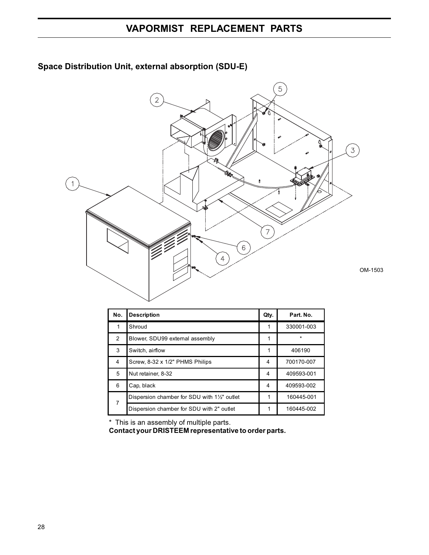

# **Space Distribution Unit, external absorption (SDU-E)**

| No. | <b>Description</b>                           | Qty. | Part. No.  |
|-----|----------------------------------------------|------|------------|
| 1   | Shroud                                       |      | 330001-003 |
| 2   | Blower, SDU99 external assembly              |      | $\star$    |
| 3   | Switch, airflow                              |      | 406190     |
| 4   | Screw, 8-32 x 1/2" PHMS Philips              | 4    | 700170-007 |
| 5   | Nut retainer, 8-32                           | 4    | 409593-001 |
| 6   | Cap, black                                   | 4    | 409593-002 |
| 7   | Dispersion chamber for SDU with 11/2" outlet | 1    | 160445-001 |
|     | Dispersion chamber for SDU with 2" outlet    | 1    | 160445-002 |

\* This is an assembly of multiple parts.

**Contact your DRISTEEM representative to order parts.**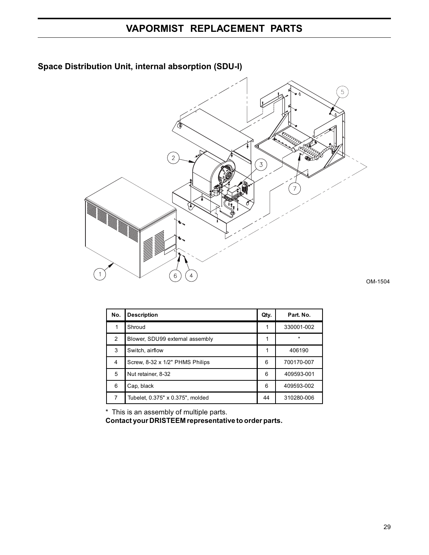

# **Space Distribution Unit, internal absorption (SDU-I)**



| No. | <b>Description</b>               | Qty. | Part. No.  |
|-----|----------------------------------|------|------------|
|     | Shroud                           |      | 330001-002 |
| 2   | Blower, SDU99 external assembly  |      | $\star$    |
| 3   | Switch, airflow                  |      | 406190     |
| 4   | Screw, 8-32 x 1/2" PHMS Philips  | 6    | 700170-007 |
| 5   | Nut retainer, 8-32               | 6    | 409593-001 |
| 6   | Cap, black                       | 6    | 409593-002 |
| 7   | Tubelet, 0.375" x 0.375", molded | 44   | 310280-006 |

\* This is an assembly of multiple parts.

**Contact your DRISTEEM representative to order parts.**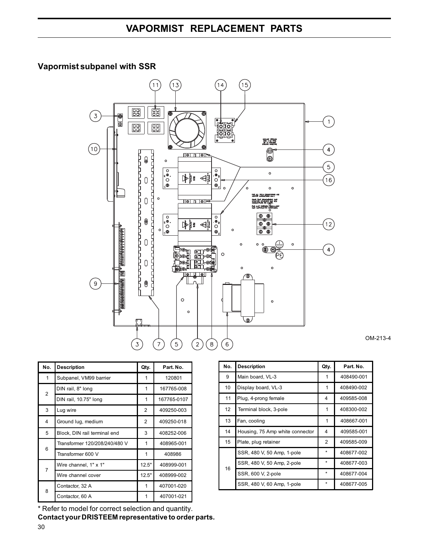# **VAPORMIST REPLACEMENT PARTS**

# **Vapormist subpanel with SSR**



OM-213-4

| No.            | <b>Description</b>            | Qty.           | Part. No.   |
|----------------|-------------------------------|----------------|-------------|
| 1              | Subpanel, VM99 barrier        | 1              | 120801      |
| $\overline{2}$ | DIN rail, 8" long             | 1              | 167765-008  |
|                | DIN rail, 10.75" long         | 1              | 167765-0107 |
| 3              | Lug wire                      | $\overline{2}$ | 409250-003  |
| 4              | Ground lug, medium            | $\overline{2}$ | 409250-018  |
| 5              | Block, DIN rail terminal end  | 3              | 408252-006  |
| 6              | Transformer 120/208/240/480 V | 1              | 408965-001  |
|                | Transformer 600 V             | 1              | 408986      |
| 7              | Wire channel, 1" x 1"         | 12.5"          | 408999-001  |
|                | Wire channel cover            | 12.5"          | 408999-002  |
| 8              | Contactor, 32 A               | 1              | 407001-020  |
|                | Contactor, 60 A               | 1              | 407001-021  |

No. Description **Qty. Part. No.** 9 Main board, VL-3 1 408490-001 10 Display board, VL-3 1 408490-002 11 Plug, 4-prong female 4 409585-008 12 Terminal block, 3-pole 1 408300-002 13 Fan, cooling 1 408667-001 14 Housing, 75 Amp white connector 4 409585-001 15 Plate, plug retainer 12 409585-009 16 SSR, 480 V, 50 Amp, 1-pole \* 408677-002 SSR, 480 V, 50 Amp, 2-pole \* 408677-003 SSR, 600 V, 2-pole \* 408677-004 SSR, 480 V, 60 Amp, 1-pole  $\begin{array}{|c|c|c|c|c|c|c|c|c|} \hline \end{array}$  \* 408677-005

30 \* Refer to model for correct selection and quantity. **Contact your DRISTEEM representative to order parts.**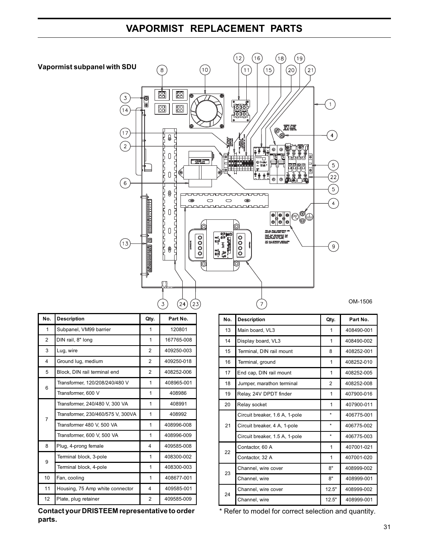# **VAPORMIST REPLACEMENT PARTS**



| No.            | <b>Description</b>                | Qty.           | Part No.   |
|----------------|-----------------------------------|----------------|------------|
| $\mathbf{1}$   | Subpanel, VM99 barrier            | 1              | 120801     |
| $\overline{2}$ | DIN rail, 8" long                 | 1              | 167765-008 |
| 3              | Lug, wire                         | $\overline{2}$ | 409250-003 |
| 4              | Ground lug, medium                | $\overline{2}$ | 409250-018 |
| 5              | Block, DIN rail terminal end      | $\overline{2}$ | 408252-006 |
| 6              | Transformer, 120/208/240/480 V    | 1              | 408965-001 |
|                | Transformer, 600 V                | 1              | 408986     |
|                | Transformer, 240/480 V, 300 VA    | 1              | 408991     |
| $\overline{7}$ | Transformer, 230/460/575 V, 300VA | 1              | 408992     |
|                | Transformer 480 V, 500 VA         | 1              | 408996-008 |
|                | Transformer, 600 V, 500 VA        | 1              | 408996-009 |
| 8              | Plug, 4-prong female              | 4              | 409585-008 |
| 9              | Terminal block, 3-pole            | 1              | 408300-002 |
|                | Terminal block, 4-pole            | 1              | 408300-003 |
| 10             | Fan, cooling                      | 1              | 408677-001 |
| 11             | Housing, 75 Amp white connector   | 4              | 409585-001 |
| 12             | Plate, plug retainer              | 2              | 409585-009 |

**Contact your DRISTEEM representative to order parts.**

| No. | <b>Description</b>             | Qty.           | Part No.   |
|-----|--------------------------------|----------------|------------|
| 13  | Main board, VL3                | 1              | 408490-001 |
|     |                                |                |            |
| 14  | Display board, VL3             | 1              | 408490-002 |
| 15  | Terminal, DIN rail mount       | 8              | 408252-001 |
| 16  | Terminal, ground               | 1              | 408252-010 |
| 17  | End cap, DIN rail mount        | 1              | 408252-005 |
| 18  | Jumper, marathon terminal      | $\overline{2}$ | 408252-008 |
| 19  | Relay, 24V DPDT finder         | 1              | 407900-016 |
| 20  | Relay socket                   | 1              | 407900-011 |
| 21  | Circuit breaker, 1.6 A, 1-pole | $\star$        | 406775-001 |
|     | Circuit breaker, 4 A, 1-pole   | $\star$        | 406775-002 |
|     | Circuit breaker, 1.5 A, 1-pole | $\star$        | 406775-003 |
| 22  | Contactor, 60 A                | 1              | 407001-021 |
|     | Contactor, 32 A                | 1              | 407001-020 |
| 23  | Channel, wire cover            | 8"             | 408999-002 |
|     | Channel, wire                  | 8"             | 408999-001 |
| 24  | Channel, wire cover            | 12.5"          | 408999-002 |
|     | Channel, wire                  | 12.5"          | 408999-001 |

\* Refer to model for correct selection and quantity.

OM-1506